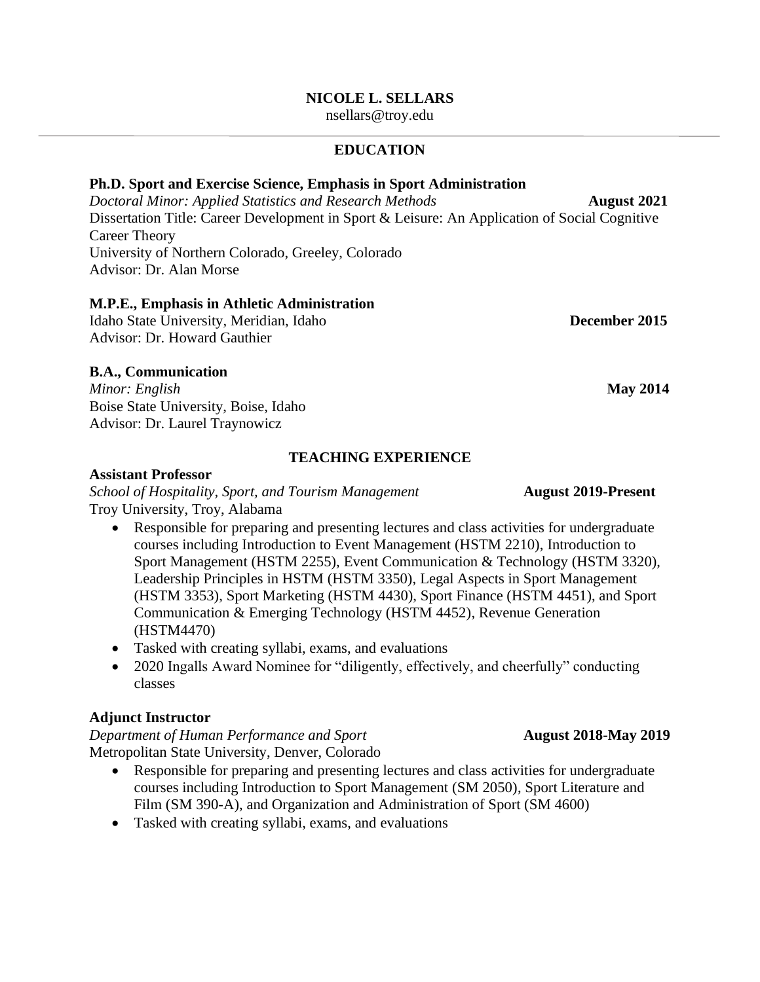### **NICOLE L. SELLARS**

[nsellars@troy.edu](mailto:nsellars@troy.edu)

## **EDUCATION**

### **Ph.D. Sport and Exercise Science, Emphasis in Sport Administration**

*Doctoral Minor: Applied Statistics and Research Methods* **<b>August 2021** Dissertation Title: Career Development in Sport & Leisure: An Application of Social Cognitive Career Theory University of Northern Colorado, Greeley, Colorado Advisor: Dr. Alan Morse

### **M.P.E., Emphasis in Athletic Administration**

Idaho State University, Meridian, Idaho **December 2015** Advisor: Dr. Howard Gauthier

# **B.A., Communication**

*Minor: English* **May 2014** Boise State University, Boise, Idaho Advisor: Dr. Laurel Traynowicz

## **TEACHING EXPERIENCE**

### **Assistant Professor**

*School of Hospitality, Sport, and Tourism Management* **August 2019-Present** Troy University, Troy, Alabama

- Responsible for preparing and presenting lectures and class activities for undergraduate courses including Introduction to Event Management (HSTM 2210), Introduction to Sport Management (HSTM 2255), Event Communication & Technology (HSTM 3320), Leadership Principles in HSTM (HSTM 3350), Legal Aspects in Sport Management (HSTM 3353), Sport Marketing (HSTM 4430), Sport Finance (HSTM 4451), and Sport Communication & Emerging Technology (HSTM 4452), Revenue Generation (HSTM4470)
- Tasked with creating syllabi, exams, and evaluations
- 2020 Ingalls Award Nominee for "diligently, effectively, and cheerfully" conducting classes

### **Adjunct Instructor**

*Department of Human Performance and Sport* **<b>August** 2018-May 2019 Metropolitan State University, Denver, Colorado

- Responsible for preparing and presenting lectures and class activities for undergraduate courses including Introduction to Sport Management (SM 2050), Sport Literature and Film (SM 390-A), and Organization and Administration of Sport (SM 4600)
- Tasked with creating syllabi, exams, and evaluations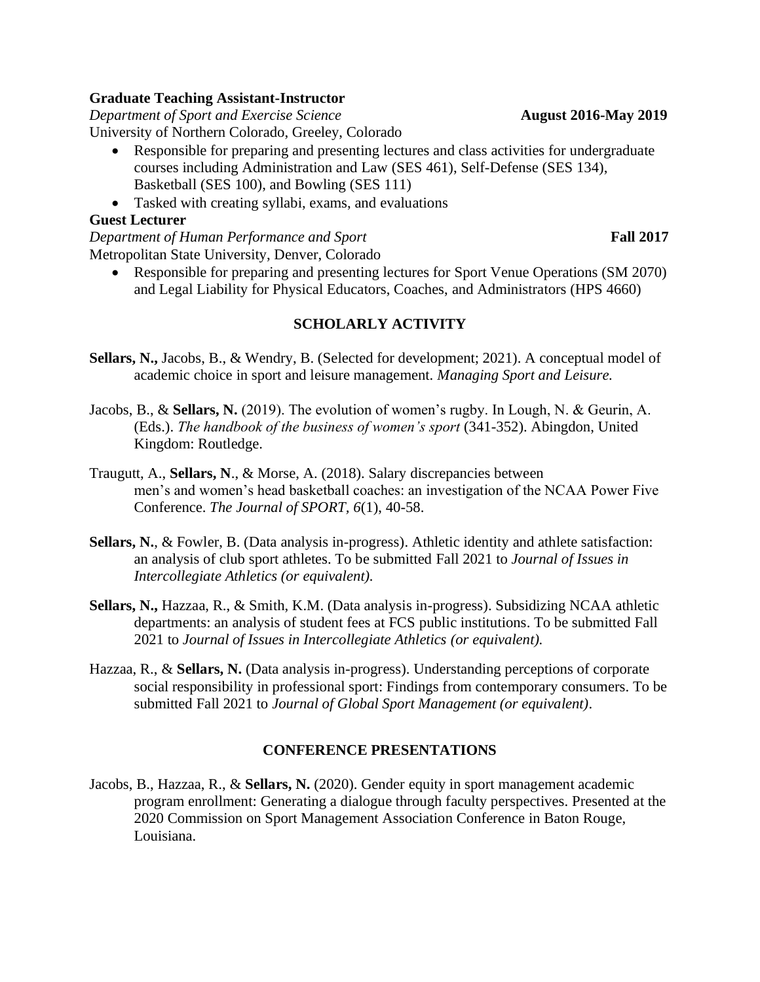## **Graduate Teaching Assistant-Instructor**

*Department of Sport and Exercise Science* **<b>August** 2016-May 2019 University of Northern Colorado, Greeley, Colorado

- Responsible for preparing and presenting lectures and class activities for undergraduate courses including Administration and Law (SES 461), Self-Defense (SES 134), Basketball (SES 100), and Bowling (SES 111)
- Tasked with creating syllabi, exams, and evaluations

# **Guest Lecturer**

*Department of Human Performance and Sport* Fall 2017 Metropolitan State University, Denver, Colorado

• Responsible for preparing and presenting lectures for Sport Venue Operations (SM 2070) and Legal Liability for Physical Educators, Coaches, and Administrators (HPS 4660)

# **SCHOLARLY ACTIVITY**

- **Sellars, N.,** Jacobs, B., & Wendry, B. (Selected for development; 2021). A conceptual model of academic choice in sport and leisure management. *Managing Sport and Leisure.*
- Jacobs, B., & **Sellars, N.** (2019). The evolution of women's rugby. In Lough, N. & Geurin, A. (Eds.). *The handbook of the business of women's sport* (341-352). Abingdon, United Kingdom: Routledge.
- Traugutt, A., **Sellars, N**., & Morse, A. (2018). Salary discrepancies between men's and women's head basketball coaches: an investigation of the NCAA Power Five Conference. *The Journal of SPORT, 6*(1), 40-58.
- **Sellars, N., & Fowler, B.** (Data analysis in-progress). Athletic identity and athlete satisfaction: an analysis of club sport athletes. To be submitted Fall 2021 to *Journal of Issues in Intercollegiate Athletics (or equivalent).*
- **Sellars, N.,** Hazzaa, R., & Smith, K.M. (Data analysis in-progress). Subsidizing NCAA athletic departments: an analysis of student fees at FCS public institutions. To be submitted Fall 2021 to *Journal of Issues in Intercollegiate Athletics (or equivalent).*
- Hazzaa, R., & **Sellars, N.** (Data analysis in-progress). Understanding perceptions of corporate social responsibility in professional sport: Findings from contemporary consumers. To be submitted Fall 2021 to *Journal of Global Sport Management (or equivalent)*.

# **CONFERENCE PRESENTATIONS**

Jacobs, B., Hazzaa, R., & **Sellars, N.** (2020). Gender equity in sport management academic program enrollment: Generating a dialogue through faculty perspectives. Presented at the 2020 Commission on Sport Management Association Conference in Baton Rouge, Louisiana.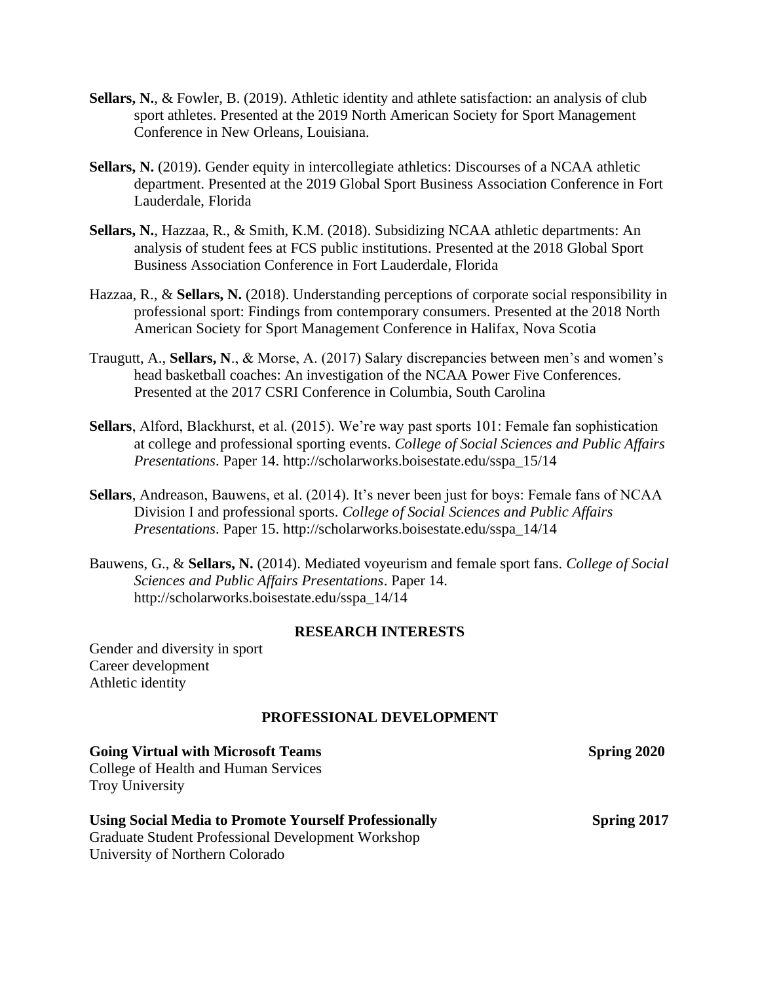- **Sellars, N., & Fowler, B. (2019). Athletic identity and athlete satisfaction: an analysis of club** sport athletes. Presented at the 2019 North American Society for Sport Management Conference in New Orleans, Louisiana.
- **Sellars, N.** (2019). Gender equity in intercollegiate athletics: Discourses of a NCAA athletic department. Presented at the 2019 Global Sport Business Association Conference in Fort Lauderdale, Florida
- **Sellars, N.**, Hazzaa, R., & Smith, K.M. (2018). Subsidizing NCAA athletic departments: An analysis of student fees at FCS public institutions. Presented at the 2018 Global Sport Business Association Conference in Fort Lauderdale, Florida
- Hazzaa, R., & **Sellars, N.** (2018). Understanding perceptions of corporate social responsibility in professional sport: Findings from contemporary consumers. Presented at the 2018 North American Society for Sport Management Conference in Halifax, Nova Scotia
- Traugutt, A., **Sellars, N**., & Morse, A. (2017) Salary discrepancies between men's and women's head basketball coaches: An investigation of the NCAA Power Five Conferences. Presented at the 2017 CSRI Conference in Columbia, South Carolina
- **Sellars**, Alford, Blackhurst, et al. (2015). We're way past sports 101: Female fan sophistication at college and professional sporting events. *College of Social Sciences and Public Affairs Presentations*. Paper 14. [http://scholarworks.boisestate.edu/sspa\\_15/14](http://scholarworks.boisestate.edu/sspa_15/14)
- **Sellars**, Andreason, Bauwens, et al. (2014). It's never been just for boys: Female fans of NCAA Division I and professional sports. *College of Social Sciences and Public Affairs Presentations*. Paper 15. [http://scholarworks.boisestate.edu/sspa\\_14/14](http://scholarworks.boisestate.edu/sspa_14/14)
- Bauwens, G., & **Sellars, N.** (2014). Mediated voyeurism and female sport fans. *College of Social Sciences and Public Affairs Presentations*. Paper 14. [http://scholarworks.boisestate.edu/sspa\\_14/14](http://scholarworks.boisestate.edu/sspa_14/14)

### **RESEARCH INTERESTS**

Gender and diversity in sport Career development Athletic identity

### **PROFESSIONAL DEVELOPMENT**

| <b>Going Virtual with Microsoft Teams</b>                    | Spring 2020        |
|--------------------------------------------------------------|--------------------|
| College of Health and Human Services                         |                    |
| <b>Troy University</b>                                       |                    |
| <b>Using Social Media to Promote Yourself Professionally</b> | <b>Spring 2017</b> |
| <b>Graduate Student Professional Development Workshop</b>    |                    |
| University of Northern Colorado                              |                    |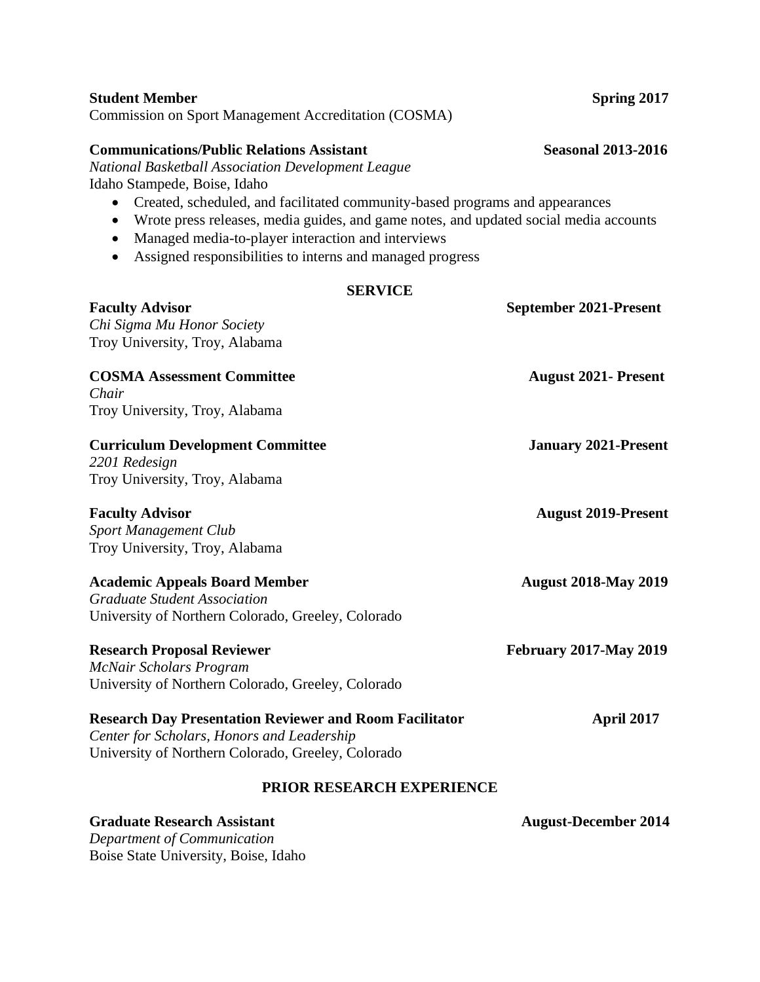| PRIOR RESEARCH EXPERIENCE<br><b>Graduate Research Assistant</b><br>Department of Communication                                                                                                           | <b>August-December 2014</b>   |
|----------------------------------------------------------------------------------------------------------------------------------------------------------------------------------------------------------|-------------------------------|
| <b>Research Day Presentation Reviewer and Room Facilitator</b><br>Center for Scholars, Honors and Leadership<br>University of Northern Colorado, Greeley, Colorado                                       | April 2017                    |
| <b>Research Proposal Reviewer</b><br>McNair Scholars Program<br>University of Northern Colorado, Greeley, Colorado                                                                                       | <b>February 2017-May 2019</b> |
| <b>Academic Appeals Board Member</b><br><b>Graduate Student Association</b><br>University of Northern Colorado, Greeley, Colorado                                                                        | <b>August 2018-May 2019</b>   |
| <b>Faculty Advisor</b><br><b>Sport Management Club</b><br>Troy University, Troy, Alabama                                                                                                                 | <b>August 2019-Present</b>    |
| <b>Curriculum Development Committee</b><br>2201 Redesign<br>Troy University, Troy, Alabama                                                                                                               | <b>January 2021-Present</b>   |
| <b>COSMA Assessment Committee</b><br>Chair<br>Troy University, Troy, Alabama                                                                                                                             | <b>August 2021-Present</b>    |
| <b>SERVICE</b><br><b>Faculty Advisor</b><br>Chi Sigma Mu Honor Society<br>Troy University, Troy, Alabama                                                                                                 | September 2021-Present        |
| wrote press releases, media guides, and game notes, and updated social media accounts<br>Managed media-to-player interaction and interviews<br>Assigned responsibilities to interns and managed progress |                               |

Commission on Sport Management Accreditation (COSMA)

### **Communications/Public Relations Assistant Seasonal 2013-2016**

Boise State University, Boise, Idaho

*National Basketball Association Development League* Idaho Stampede, Boise, Idaho

- Created, scheduled, and facilitated community-based programs and appearances
- Wrote press releases, media guides, and game notes, and updated social media accounts

**Student Member Spring 2017**